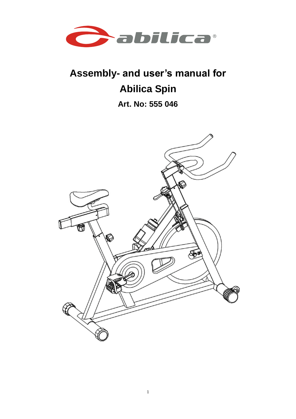

# **Assembly- and user's manual for Abilica Spin**

**Art. No: 555 046**

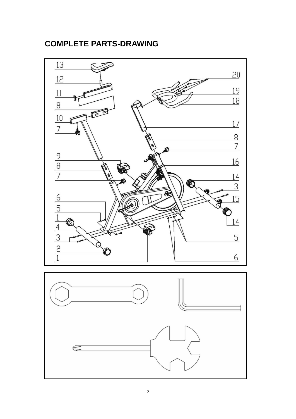# **COMPLETE PARTS-DRAWING**

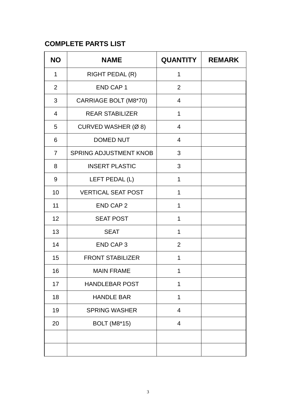# **COMPLETE PARTS LIST**

| <b>NO</b>      | <b>NAME</b>                   | QUANTITY       | <b>REMARK</b> |
|----------------|-------------------------------|----------------|---------------|
| 1              | RIGHT PEDAL (R)               | 1              |               |
| $\overline{2}$ | <b>END CAP1</b>               | $\overline{2}$ |               |
| 3              | CARRIAGE BOLT (M8*70)         | 4              |               |
| $\overline{4}$ | <b>REAR STABILIZER</b>        | 1              |               |
| 5              | CURVED WASHER (Ø 8)           | $\overline{4}$ |               |
| 6              | <b>DOMED NUT</b>              | $\overline{4}$ |               |
| $\overline{7}$ | <b>SPRING ADJUSTMENT KNOB</b> | 3              |               |
| 8              | <b>INSERT PLASTIC</b>         | 3              |               |
| 9              | LEFT PEDAL (L)                | 1              |               |
| 10             | <b>VERTICAL SEAT POST</b>     | 1              |               |
| 11             | <b>END CAP 2</b>              | $\mathbf{1}$   |               |
| 12             | <b>SEAT POST</b>              | 1              |               |
| 13             | <b>SEAT</b>                   | $\mathbf{1}$   |               |
| 14             | <b>END CAP3</b>               | $\overline{2}$ |               |
| 15             | <b>FRONT STABILIZER</b>       | 1              |               |
| 16             | <b>MAIN FRAME</b>             | 1              |               |
| 17             | <b>HANDLEBAR POST</b>         | 1              |               |
| 18             | <b>HANDLE BAR</b>             | 1              |               |
| 19             | <b>SPRING WASHER</b>          | $\overline{4}$ |               |
| 20             | <b>BOLT</b> (M8*15)           | $\overline{4}$ |               |
|                |                               |                |               |
|                |                               |                |               |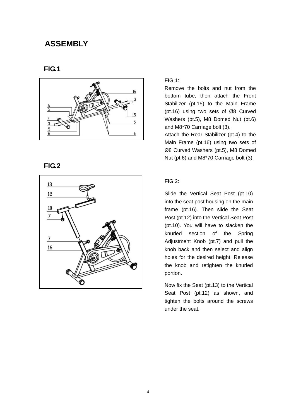# **ASSEMBLY**

#### **FIG.1**



#### **FIG.2**



#### FIG.1:

Remove the bolts and nut from the bottom tube, then attach the Front Stabilizer (pt.15) to the Main Frame (pt.16) using two sets of Ø8 Curved Washers (pt.5), M8 Domed Nut (pt.6) and M8\*70 Carriage bolt (3).

Attach the Rear Stabilizer (pt.4) to the Main Frame (pt.16) using two sets of Ø8 Curved Washers (pt.5), M8 Domed Nut (pt.6) and M8\*70 Carriage bolt (3).

#### FIG.2:

Slide the Vertical Seat Post (pt.10) into the seat post housing on the main frame (pt.16). Then slide the Seat Post (pt.12) into the Vertical Seat Post (pt.10). You will have to slacken the knurled section of the Spring Adjustment Knob (pt.7) and pull the knob back and then select and align holes for the desired height. Release the knob and retighten the knurled portion.

Now fix the Seat (pt.13) to the Vertical Seat Post (pt.12) as shown, and tighten the bolts around the screws under the seat.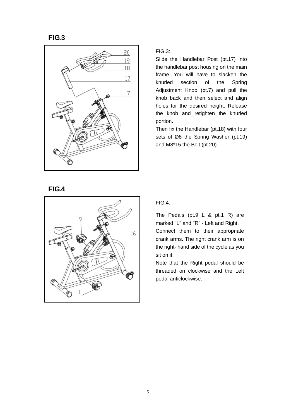**FIG.3**



**FIG.4**

# 16 Æ

FIG.3:

Slide the Handlebar Post (pt.17) into the handlebar post housing on the main frame. You will have to slacken the knurled section of the Spring Adjustment Knob (pt.7) and pull the knob back and then select and align holes for the desired height. Release the knob and retighten the knurled portion.

Then fix the Handlebar (pt.18) with four sets of Ø8 the Spring Washer (pt.19) and M8\*15 the Bolt (pt.20).

FIG.4:

The Pedals (pt.9 L & pt.1 R) are marked "L" and "R" - Left and Right. Connect them to their appropriate crank arms. The right crank arm is on the right- hand side of the cycle as you sit on it.

Note that the Right pedal should be threaded on clockwise and the Left pedal anticlockwise.